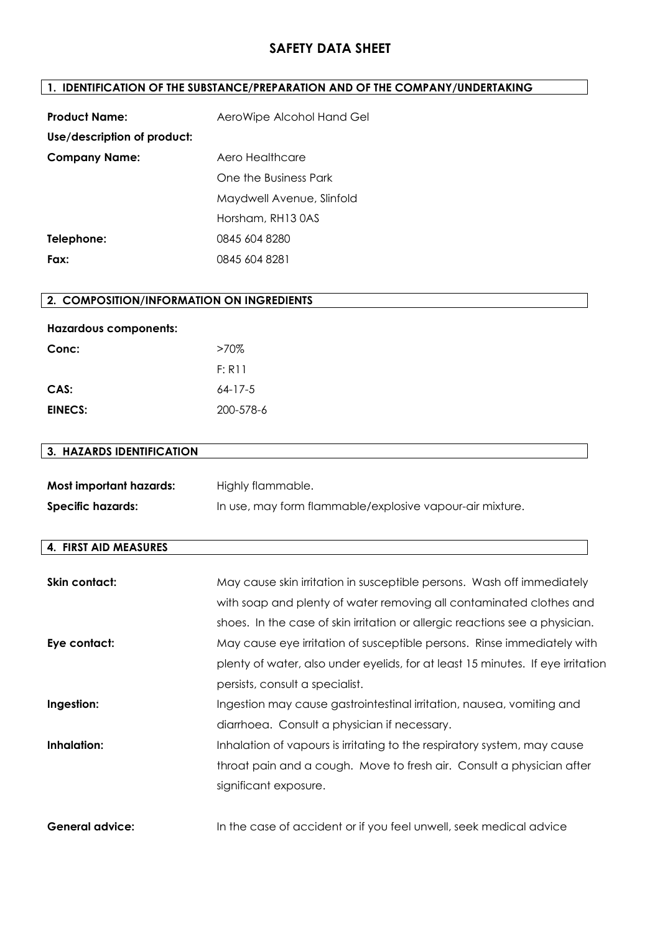## **1. IDENTIFICATION OF THE SUBSTANCE/PREPARATION AND OF THE COMPANY/UNDERTAKING**

| <b>Product Name:</b>        | AeroWipe Alcohol Hand Gel |
|-----------------------------|---------------------------|
| Use/description of product: |                           |
| <b>Company Name:</b>        | Aero Healthcare           |
|                             | One the Business Park     |
|                             | Maydwell Avenue, Slinfold |
|                             | Horsham, RH13 0AS         |
| Telephone:                  | 0845 604 8280             |
| Fax:                        | 0845 604 8281             |

## **2. COMPOSITION/INFORMATION ON INGREDIENTS**

| <b>Hazardous components:</b> |           |
|------------------------------|-----------|
| Conc:                        | $>70\%$   |
|                              | F: R11    |
| CAS:                         | $64-17-5$ |
| EINECS:                      | 200-578-6 |

## **3. HAZARDS IDENTIFICATION**

| Most important hazards: | Highly flammable.                                        |
|-------------------------|----------------------------------------------------------|
| Specific hazards:       | In use, may form flammable/explosive vapour-air mixture. |

#### **4. FIRST AID MEASURES**

| Skin contact:          | May cause skin irritation in susceptible persons. Wash off immediately          |
|------------------------|---------------------------------------------------------------------------------|
|                        | with soap and plenty of water removing all contaminated clothes and             |
|                        | shoes. In the case of skin irritation or allergic reactions see a physician.    |
| Eye contact:           | May cause eye irritation of susceptible persons. Rinse immediately with         |
|                        | plenty of water, also under eyelids, for at least 15 minutes. If eye irritation |
|                        | persists, consult a specialist.                                                 |
| Ingestion:             | Ingestion may cause gastrointestinal irritation, nausea, vomiting and           |
|                        | diarrhoea. Consult a physician if necessary.                                    |
| Inhalation:            | Inhalation of vapours is irritating to the respiratory system, may cause        |
|                        | throat pain and a cough. Move to fresh air. Consult a physician after           |
|                        | significant exposure.                                                           |
|                        |                                                                                 |
| <b>General advice:</b> | In the case of accident or if you feel unwell, seek medical advice              |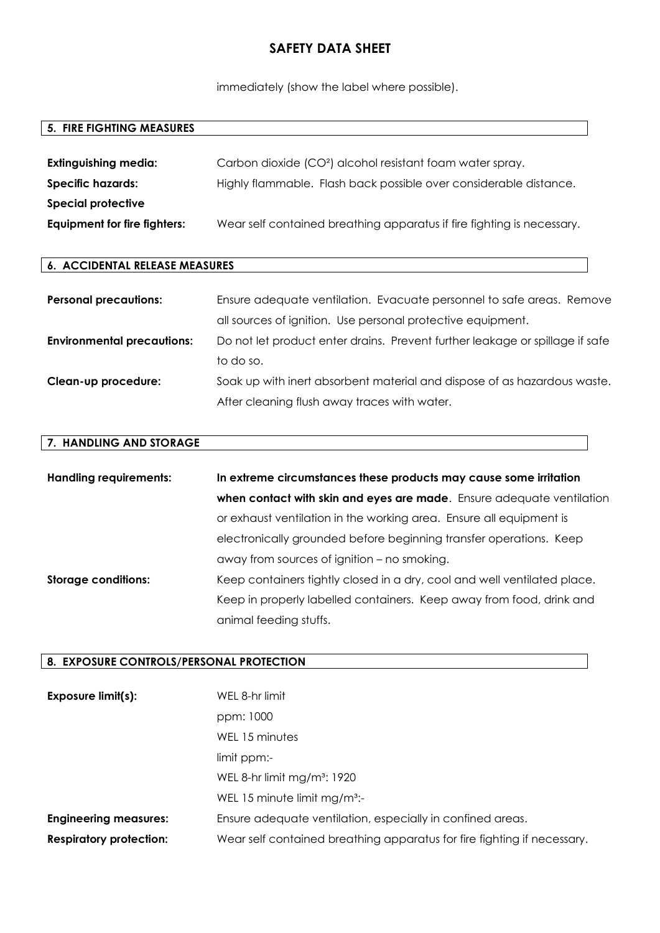immediately (show the label where possible).

#### **5. FIRE FIGHTING MEASURES**

| <b>Extinguishing media:</b>         | Carbon dioxide (CO <sup>2</sup> ) alcohol resistant foam water spray.  |
|-------------------------------------|------------------------------------------------------------------------|
| Specific hazards:                   | Highly flammable. Flash back possible over considerable distance.      |
| <b>Special protective</b>           |                                                                        |
| <b>Equipment for fire fighters:</b> | Wear self contained breathing apparatus if fire fighting is necessary. |

### **6. ACCIDENTAL RELEASE MEASURES**

| <b>Personal precautions:</b>      | Ensure adequate ventilation. Evacuate personnel to safe areas. Remove        |
|-----------------------------------|------------------------------------------------------------------------------|
|                                   | all sources of ignition. Use personal protective equipment.                  |
| <b>Environmental precautions:</b> | Do not let product enter drains. Prevent further leakage or spillage if safe |
|                                   | to do so.                                                                    |
| Clean-up procedure:               | Soak up with inert absorbent material and dispose of as hazardous waste.     |
|                                   | After cleaning flush away traces with water.                                 |

#### **7. HANDLING AND STORAGE**

| <b>Handling requirements:</b> | In extreme circumstances these products may cause some irritation        |
|-------------------------------|--------------------------------------------------------------------------|
|                               | when contact with skin and eyes are made. Ensure adequate ventilation    |
|                               | or exhaust ventilation in the working area. Ensure all equipment is      |
|                               | electronically grounded before beginning transfer operations. Keep       |
|                               | away from sources of ignition – no smoking.                              |
| <b>Storage conditions:</b>    | Keep containers tightly closed in a dry, cool and well ventilated place. |
|                               | Keep in properly labelled containers. Keep away from food, drink and     |
|                               | animal feeding stuffs.                                                   |

#### **8. EXPOSURE CONTROLS/PERSONAL PROTECTION**

| Exposure limit(s):             | WEL 8-hr limit                                                          |
|--------------------------------|-------------------------------------------------------------------------|
|                                | ppm: 1000                                                               |
|                                | WEL 15 minutes                                                          |
|                                | limit ppm:-                                                             |
|                                | WEL 8-hr limit $mg/m^3$ : 1920                                          |
|                                | WEL 15 minute limit $mg/m^3$ :-                                         |
| <b>Engineering measures:</b>   | Ensure adequate ventilation, especially in confined areas.              |
| <b>Respiratory protection:</b> | Wear self contained breathing apparatus for fire fighting if necessary. |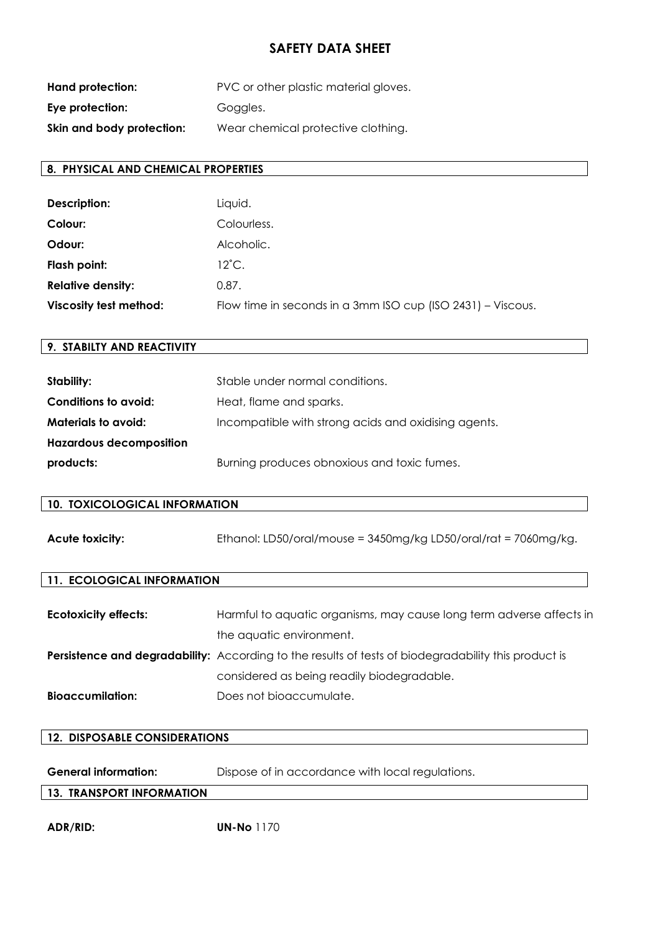| Hand protection:          | PVC or other plastic material gloves. |
|---------------------------|---------------------------------------|
| Eye protection:           | Goggles.                              |
| Skin and body protection: | Wear chemical protective clothing.    |

### **8. PHYSICAL AND CHEMICAL PROPERTIES**

| Description:                  | Liquid.                                                     |
|-------------------------------|-------------------------------------------------------------|
| Colour:                       | Colourless.                                                 |
| Odour:                        | Alcoholic.                                                  |
| Flash point:                  | $12^{\circ}$ C.                                             |
| <b>Relative density:</b>      | 0.87.                                                       |
| <b>Viscosity test method:</b> | Flow time in seconds in a 3mm ISO cup (ISO 2431) – Viscous. |

## **9. STABILTY AND REACTIVITY**

| Stability:                     | Stable under normal conditions.                      |
|--------------------------------|------------------------------------------------------|
| Conditions to avoid:           | Heat, flame and sparks.                              |
| <b>Materials to avoid:</b>     | Incompatible with strong acids and oxidising agents. |
| <b>Hazardous decomposition</b> |                                                      |
| products:                      | Burning produces obnoxious and toxic fumes.          |

#### **10. TOXICOLOGICAL INFORMATION**

| <b>Acute toxicity:</b> | Ethanol: LD50/oral/mouse = $3450mg/kg$ LD50/oral/rat = $7060mg/kg$ . |
|------------------------|----------------------------------------------------------------------|
|------------------------|----------------------------------------------------------------------|

#### **11. ECOLOGICAL INFORMATION**

| <b>Ecotoxicity effects:</b> | Harmful to aquatic organisms, may cause long term adverse affects in                                        |
|-----------------------------|-------------------------------------------------------------------------------------------------------------|
|                             | the aquatic environment.                                                                                    |
|                             | <b>Persistence and degradability:</b> According to the results of tests of biodegradability this product is |
|                             | considered as being readily biodegradable.                                                                  |
| <b>Bioaccumilation:</b>     | Does not bioaccumulate.                                                                                     |

# **12. DISPOSABLE CONSIDERATIONS**

| <b>General information:</b> | Dispose of in accordance with local regulations. |  |
|-----------------------------|--------------------------------------------------|--|
|                             |                                                  |  |

# **13. TRANSPORT INFORMATION**

**ADR/RID: UN-No** 1170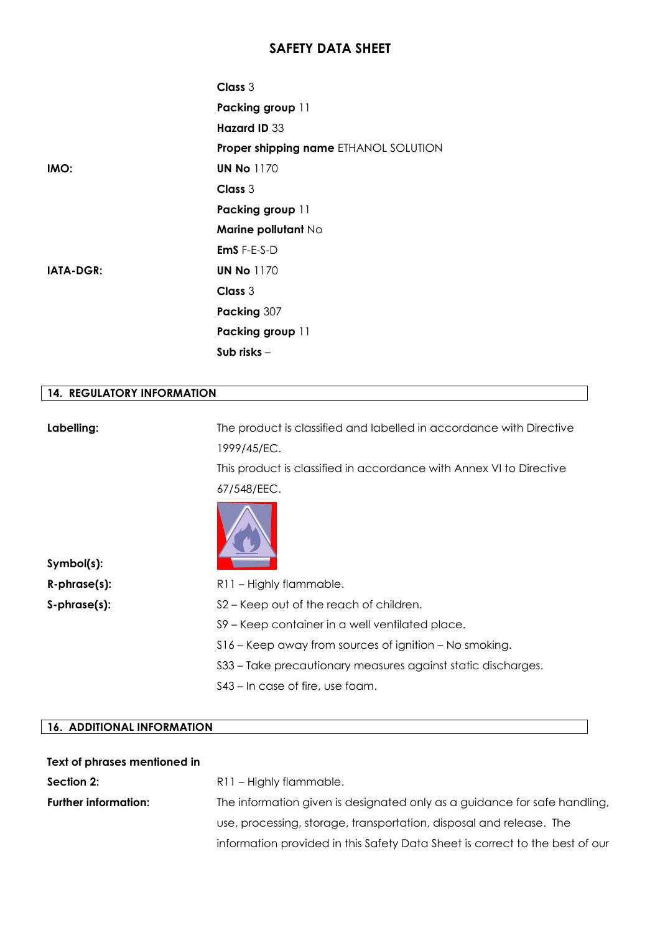|           | Class 3                               |
|-----------|---------------------------------------|
|           | Packing group 11                      |
|           | Hazard ID 33                          |
|           | Proper shipping name ETHANOL SOLUTION |
| IMO:      | <b>UN No 1170</b>                     |
|           | Class 3                               |
|           | Packing group 11                      |
|           | Marine pollutant No                   |
|           | $EmS$ F-E-S-D                         |
| IATA-DGR: | <b>UN No 1170</b>                     |
|           | Class 3                               |
|           | Packing 307                           |
|           | Packing group 11                      |
|           | Sub risks -                           |

#### **14. REGULATORY INFORMATION**

**Labelling:** The product is classified and labelled in accordance with Directive 1999/45/EC.

> This product is classified in accordance with Annex VI to Directive 67/548/EEC.



**Symbol(s):**

**R-phrase(s):** R11 – Highly flammable.

**S-phrase(s):** S2 – Keep out of the reach of children.

S9 – Keep container in a well ventilated place.

S16 – Keep away from sources of ignition – No smoking.

S33 – Take precautionary measures against static discharges.

S43 – In case of fire, use foam.

### **16. ADDITIONAL INFORMATION**

| Text of phrases mentioned in |                                                                              |
|------------------------------|------------------------------------------------------------------------------|
| Section 2:                   | R11 - Highly flammable.                                                      |
| <b>Further information:</b>  | The information given is designated only as a guidance for safe handling,    |
|                              | use, processing, storage, transportation, disposal and release. The          |
|                              | information provided in this Safety Data Sheet is correct to the best of our |